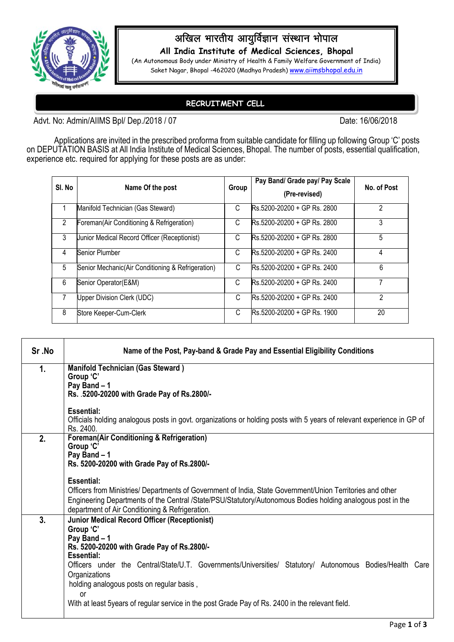

## अखिल भारतीय आयुर्विज्ञान संस्थान भोपाल

**All India Institute of Medical Sciences, Bhopal**

(An Autonomous Body under Ministry of Health & Family Welfare Government of India) Saket Nagar, Bhopal -462020 (Madhya Pradesh) [www.aiimsbhopal.edu.in](http://www.aiimsbhopal.edu.in/)

## **RECRUITMENT CELL**

Advt. No: Admin/AIIMS Bpl/ Dep./2018 / 07 Date: 16/06/2018

Applications are invited in the prescribed proforma from suitable candidate for filling up following Group 'C' posts on DEPUTATION BASIS at All India Institute of Medical Sciences, Bhopal. The number of posts, essential qualification, experience etc. required for applying for these posts are as under:

| SI. No | Name Of the post                                   | Group | Pay Band/ Grade pay/ Pay Scale<br>(Pre-revised)       | No. of Post |
|--------|----------------------------------------------------|-------|-------------------------------------------------------|-------------|
|        | Manifold Technician (Gas Steward)                  | C     | Rs.5200-20200 + GP Rs. 2800                           | 2           |
| 2      | Foreman(Air Conditioning & Refrigeration)          | C     | Rs.5200-20200 + GP Rs. 2800                           | 3           |
| 3      | Junior Medical Record Officer (Receptionist)       | C     | Rs.5200-20200 + GP Rs. 2800                           | 5           |
| 4      | <b>Senior Plumber</b>                              | C     | Rs.5200-20200 + GP Rs. 2400                           | 4           |
| 5      | Senior Mechanic (Air Conditioning & Refrigeration) | C     | $\text{Rs } 5200 - 20200 + \text{GP} \text{Rs } 2400$ | 6           |
| 6      | Senior Operator(E&M)                               | C     | Rs.5200-20200 + GP Rs. 2400                           |             |
|        | Upper Division Clerk (UDC)                         | C     | Rs.5200-20200 + GP Rs. 2400                           | 2           |
| 8      | Store Keeper-Cum-Clerk                             | C     | Rs.5200-20200 + GP Rs. 1900                           | 20          |

| Sr.No | Name of the Post, Pay-band & Grade Pay and Essential Eligibility Conditions                                                                                                                                                                                                                                                                                                                                                             |  |  |
|-------|-----------------------------------------------------------------------------------------------------------------------------------------------------------------------------------------------------------------------------------------------------------------------------------------------------------------------------------------------------------------------------------------------------------------------------------------|--|--|
| 1.    | <b>Manifold Technician (Gas Steward)</b><br>Group 'C'<br>Pay Band - 1<br>Rs. .5200-20200 with Grade Pay of Rs.2800/-                                                                                                                                                                                                                                                                                                                    |  |  |
|       | <b>Essential:</b><br>Officials holding analogous posts in govt. organizations or holding posts with 5 years of relevant experience in GP of<br>Rs. 2400.                                                                                                                                                                                                                                                                                |  |  |
| 2.    | <b>Foreman(Air Conditioning &amp; Refrigeration)</b><br>Group 'C'<br>Pay Band - 1<br>Rs. 5200-20200 with Grade Pay of Rs.2800/-<br><b>Essential:</b><br>Officers from Ministries/ Departments of Government of India, State Government/Union Territories and other<br>Engineering Departments of the Central /State/PSU/Statutory/Autonomous Bodies holding analogous post in the<br>department of Air Conditioning & Refrigeration.    |  |  |
| 3.    | <b>Junior Medical Record Officer (Receptionist)</b><br>Group 'C'<br>Pay Band - 1<br>Rs. 5200-20200 with Grade Pay of Rs.2800/-<br><b>Essential:</b><br>Officers under the Central/State/U.T. Governments/Universities/ Statutory/ Autonomous Bodies/Health Care<br>Organizations<br>holding analogous posts on regular basis,<br>or<br>With at least 5years of regular service in the post Grade Pay of Rs. 2400 in the relevant field. |  |  |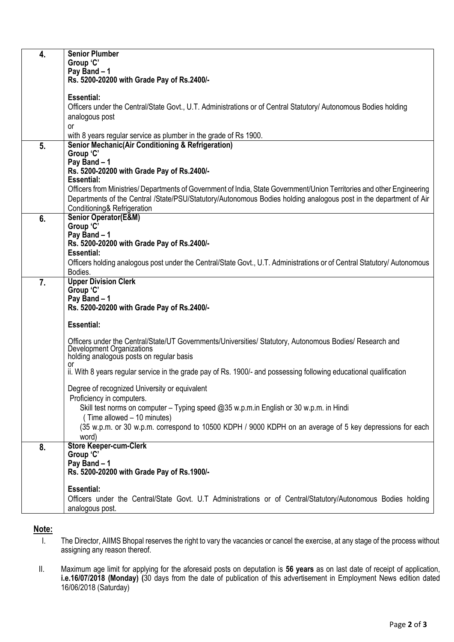| 4. | <b>Senior Plumber</b><br>Group 'C'<br>Pay Band - 1<br>Rs. 5200-20200 with Grade Pay of Rs.2400/-                                                                                                                                                                                                |
|----|-------------------------------------------------------------------------------------------------------------------------------------------------------------------------------------------------------------------------------------------------------------------------------------------------|
|    | <b>Essential:</b><br>Officers under the Central/State Govt., U.T. Administrations or of Central Statutory/ Autonomous Bodies holding<br>analogous post<br><b>or</b>                                                                                                                             |
|    | with 8 years regular service as plumber in the grade of Rs 1900.                                                                                                                                                                                                                                |
| 5. | <b>Senior Mechanic(Air Conditioning &amp; Refrigeration)</b><br>Group 'C'<br>Pay Band - 1<br>Rs. 5200-20200 with Grade Pay of Rs.2400/-                                                                                                                                                         |
|    | <b>Essential:</b><br>Officers from Ministries/ Departments of Government of India, State Government/Union Territories and other Engineering<br>Departments of the Central /State/PSU/Statutory/Autonomous Bodies holding analogous post in the department of Air<br>Conditioning& Refrigeration |
| 6. | <b>Senior Operator(E&amp;M)</b><br>Group 'C'<br>Pay Band - 1<br>Rs. 5200-20200 with Grade Pay of Rs.2400/-<br><b>Essential:</b>                                                                                                                                                                 |
|    | Officers holding analogous post under the Central/State Govt., U.T. Administrations or of Central Statutory/ Autonomous<br>Bodies.                                                                                                                                                              |
| 7. | <b>Upper Division Clerk</b><br>Group 'C'<br>Pay Band - 1<br>Rs. 5200-20200 with Grade Pay of Rs.2400/-                                                                                                                                                                                          |
|    | <b>Essential:</b>                                                                                                                                                                                                                                                                               |
|    | Officers under the Central/State/UT Governments/Universities/ Statutory, Autonomous Bodies/ Research and<br>Development Organizations<br>holding analogous posts on regular basis                                                                                                               |
|    | or<br>ii. With 8 years regular service in the grade pay of Rs. 1900/- and possessing following educational qualification                                                                                                                                                                        |
|    | Degree of recognized University or equivalent<br>Proficiency in computers.<br>Skill test norms on computer - Typing speed @35 w.p.m.in English or 30 w.p.m. in Hindi                                                                                                                            |
|    | (Time allowed - 10 minutes)<br>(35 w.p.m. or 30 w.p.m. correspond to 10500 KDPH / 9000 KDPH on an average of 5 key depressions for each<br>word)                                                                                                                                                |
| 8. | <b>Store Keeper-cum-Clerk</b><br>Group 'C'<br>Pay Band - 1<br>Rs. 5200-20200 with Grade Pay of Rs. 1900/-                                                                                                                                                                                       |
|    | <b>Essential:</b><br>Officers under the Central/State Govt. U.T Administrations or of Central/Statutory/Autonomous Bodies holding<br>analogous post.                                                                                                                                            |

## **Note:**

- I. The Director, AIIMS Bhopal reserves the right to vary the vacancies or cancel the exercise, at any stage of the process without assigning any reason thereof.
- II. Maximum age limit for applying for the aforesaid posts on deputation is **56 years** as on last date of receipt of application, **i.e.16/07/2018 (Monday) (**30 days from the date of publication of this advertisement in Employment News edition dated 16/06/2018 (Saturday)